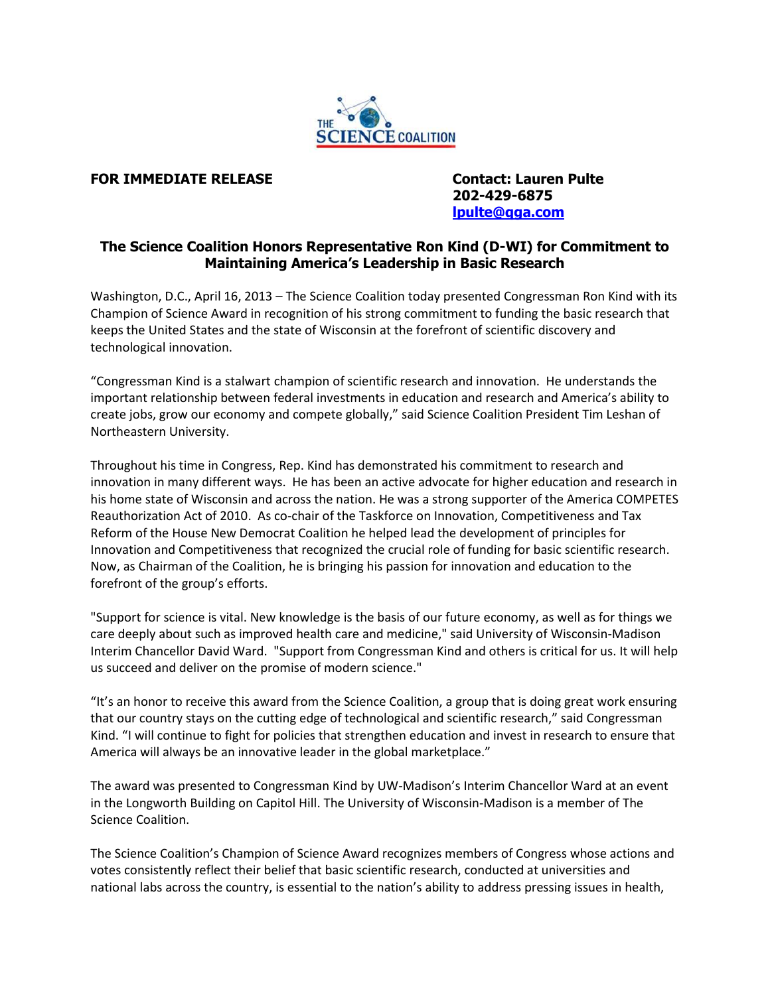

## **FOR IMMEDIATE RELEASE Contact: Lauren Pulte**

 **202-429-6875 [lpulte@qga.com](mailto:lpulte@qga.com)**

## **The Science Coalition Honors Representative Ron Kind (D-WI) for Commitment to Maintaining America's Leadership in Basic Research**

Washington, D.C., April 16, 2013 – The Science Coalition today presented Congressman Ron Kind with its Champion of Science Award in recognition of his strong commitment to funding the basic research that keeps the United States and the state of Wisconsin at the forefront of scientific discovery and technological innovation.

"Congressman Kind is a stalwart champion of scientific research and innovation. He understands the important relationship between federal investments in education and research and America's ability to create jobs, grow our economy and compete globally," said Science Coalition President Tim Leshan of Northeastern University.

Throughout his time in Congress, Rep. Kind has demonstrated his commitment to research and innovation in many different ways. He has been an active advocate for higher education and research in his home state of Wisconsin and across the nation. He was a strong supporter of the America COMPETES Reauthorization Act of 2010. As co-chair of the Taskforce on Innovation, Competitiveness and Tax Reform of the House New Democrat Coalition he helped lead the development of principles for Innovation and Competitiveness that recognized the crucial role of funding for basic scientific research. Now, as Chairman of the Coalition, he is bringing his passion for innovation and education to the forefront of the group's efforts.

"Support for science is vital. New knowledge is the basis of our future economy, as well as for things we care deeply about such as improved health care and medicine," said University of Wisconsin-Madison Interim Chancellor David Ward. "Support from Congressman Kind and others is critical for us. It will help us succeed and deliver on the promise of modern science."

"It's an honor to receive this award from the Science Coalition, a group that is doing great work ensuring that our country stays on the cutting edge of technological and scientific research," said Congressman Kind. "I will continue to fight for policies that strengthen education and invest in research to ensure that America will always be an innovative leader in the global marketplace."

The award was presented to Congressman Kind by UW-Madison's Interim Chancellor Ward at an event in the Longworth Building on Capitol Hill. The University of Wisconsin-Madison is a member of The Science Coalition.

The Science Coalition's Champion of Science Award recognizes members of Congress whose actions and votes consistently reflect their belief that basic scientific research, conducted at universities and national labs across the country, is essential to the nation's ability to address pressing issues in health,